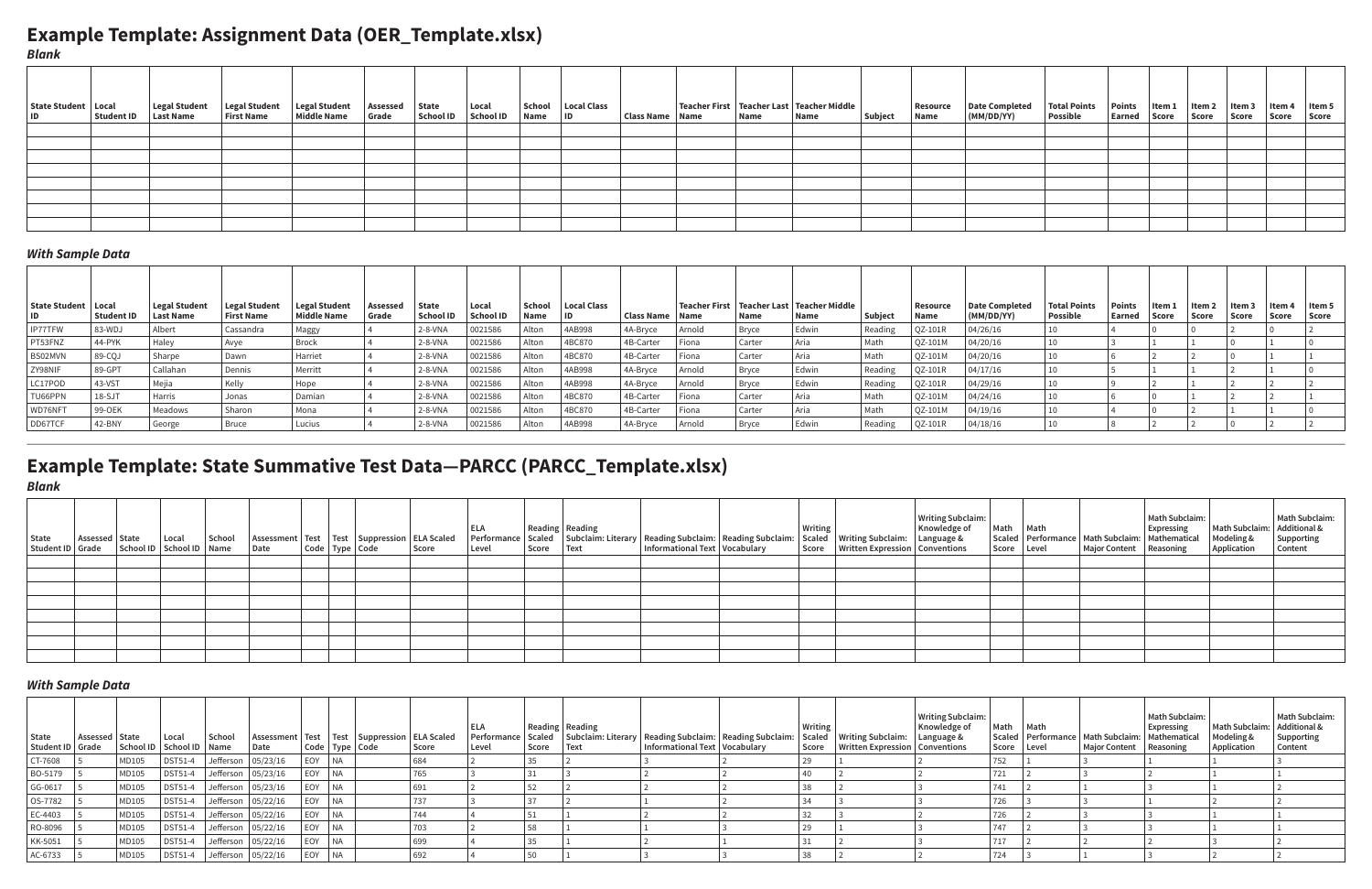## **Example Template: Assignment Data (OER\_Template.xlsx)**

# **Example Template: State Summative Test Data—PARCC (PARCC\_Template.xlsx)**

| State Student   Local | Student ID | Legal Student<br><b>Last Name</b> | Legal Student<br><b>First Name</b> | Legal Student<br><b>Middle Name</b> | Assessed State<br>Grade | School ID | Local<br><b>School ID</b> | Name ID | School   Local Class | Class Name   Name | Name | Teacher First   Teacher Last   Teacher Middle<br>Name | Subject | Name | Resource   Date Completed<br>(MM/DD/YY) | Total Points   Points   Item 1<br>Possible | Earned Score | $\vert$ Item 2 $\vert$ Item 3<br>Score | Score | l Item 4<br>Score | Item $5$<br>Score |
|-----------------------|------------|-----------------------------------|------------------------------------|-------------------------------------|-------------------------|-----------|---------------------------|---------|----------------------|-------------------|------|-------------------------------------------------------|---------|------|-----------------------------------------|--------------------------------------------|--------------|----------------------------------------|-------|-------------------|-------------------|
|                       |            |                                   |                                    |                                     |                         |           |                           |         |                      |                   |      |                                                       |         |      |                                         |                                            |              |                                        |       |                   |                   |
|                       |            |                                   |                                    |                                     |                         |           |                           |         |                      |                   |      |                                                       |         |      |                                         |                                            |              |                                        |       |                   |                   |
|                       |            |                                   |                                    |                                     |                         |           |                           |         |                      |                   |      |                                                       |         |      |                                         |                                            |              |                                        |       |                   |                   |
|                       |            |                                   |                                    |                                     |                         |           |                           |         |                      |                   |      |                                                       |         |      |                                         |                                            |              |                                        |       |                   |                   |
|                       |            |                                   |                                    |                                     |                         |           |                           |         |                      |                   |      |                                                       |         |      |                                         |                                            |              |                                        |       |                   |                   |
|                       |            |                                   |                                    |                                     |                         |           |                           |         |                      |                   |      |                                                       |         |      |                                         |                                            |              |                                        |       |                   |                   |
|                       |            |                                   |                                    |                                     |                         |           |                           |         |                      |                   |      |                                                       |         |      |                                         |                                            |              |                                        |       |                   |                   |
|                       |            |                                   |                                    |                                     |                         |           |                           |         |                      |                   |      |                                                       |         |      |                                         |                                            |              |                                        |       |                   |                   |

| State<br>  Student ID   Grade | Assessed   State | School ID   School ID   Name | Local   | School | Date                            |        | Assessment   Test   Test   Suppression   ELA Scaled<br>  Code   Type   Code | Score | Level | Score | Reading   Reading<br>Text | Informational Text   Vocabulary | Performance Scaled Subclaim: Literary Reading Subclaim: Reading Subclaim: Scaled Writing Subclaim: Language & | Writing<br>Score | Written Expression   Conventions | <b>Writing Subclaim:</b><br>Knowledge of | Math   Math<br>Score Level | Scaled   Performance   Math Subclaim:   Mathematical<br>  Major Content   Reasoning | Math Subclaim:<br>Expressing | Math Subclaim: Additional &<br>Modeling &<br><b>Application</b> | Math Subclaim:<br>Supporting<br>Content |
|-------------------------------|------------------|------------------------------|---------|--------|---------------------------------|--------|-----------------------------------------------------------------------------|-------|-------|-------|---------------------------|---------------------------------|---------------------------------------------------------------------------------------------------------------|------------------|----------------------------------|------------------------------------------|----------------------------|-------------------------------------------------------------------------------------|------------------------------|-----------------------------------------------------------------|-----------------------------------------|
| CT-7608                       |                  | MD105                        |         |        | DST51-4   Jefferson   05/23/16  | EOY NA |                                                                             |       |       |       |                           |                                 |                                                                                                               |                  |                                  |                                          | 752                        |                                                                                     |                              |                                                                 |                                         |
| BO-5179                       |                  | MD105                        |         |        | DST51-4   Jefferson   05/23/16  | EOY NA |                                                                             | 765   |       | 31    |                           |                                 |                                                                                                               |                  |                                  |                                          | 721                        |                                                                                     |                              |                                                                 |                                         |
| GG-0617                       |                  | MD105                        |         |        | DST51-4   Jefferson   05/23/16  | EOY NA |                                                                             | 691   |       |       |                           |                                 |                                                                                                               | 38               |                                  |                                          | 741                        |                                                                                     |                              |                                                                 |                                         |
| OS-7782                       |                  | MD105                        |         |        | DST51-4   Jefferson   05/22/16  | EOY NA |                                                                             | 737   |       |       |                           |                                 |                                                                                                               |                  |                                  |                                          | 726                        |                                                                                     |                              |                                                                 |                                         |
| EC-4403                       |                  | MD105                        |         |        | DST51-4   Jefferson   05/22/16  | EOY NA |                                                                             | 744   |       |       |                           |                                 |                                                                                                               | 32               |                                  |                                          | 726                        |                                                                                     |                              |                                                                 |                                         |
| RO-8096                       |                  | MD105                        |         |        | $DST51-4$ Jefferson $05/22/16$  | EOY NA |                                                                             | 703   |       |       |                           |                                 |                                                                                                               | 29               |                                  |                                          | 747                        |                                                                                     |                              |                                                                 |                                         |
| KK-5051                       |                  | MD105                        |         |        | $DST51-4$ Jefferson $ 05/22/16$ | EOY NA |                                                                             | 699   |       | 35    |                           |                                 |                                                                                                               | 31               |                                  |                                          | 717                        |                                                                                     |                              |                                                                 |                                         |
| AC-6733                       |                  | MD105                        | DST51-4 |        | Jefferson   05/22/16            | EOY NA |                                                                             | 692   |       | 50    |                           |                                 |                                                                                                               | 38               |                                  |                                          | 724                        |                                                                                     |                              |                                                                 |                                         |

| State<br>Student ID Grade School ID School ID Name | Assessed State Local | School | Date |  | Assessment   Test   Test   Suppression   ELA Scaled<br>$\vert$ Code $\vert$ Type $\vert$ Code | Score | Level | Score Text | Informational Text   Vocabulary |  | <br>  ELA    Reading    Reading    Reading Subclaim:    Reading Subclaim:    Writing    Writing Subclaim:    Knowledge of<br>  Performance    Scaled    Subclaim: Literary    Reading Subclaim:    Reading Subclaim:    Scaled    W<br>Score   Written Expression   Conventions | Score Level | Major Content   Reasoning | Math Subclaim:<br>Math Math<br>Scaled Performance Math Subclaim: Mathematical | X:<br>Math Subclaim:<br>Additional &<br>Modeling &<br>Application (Content)<br>Content |
|----------------------------------------------------|----------------------|--------|------|--|-----------------------------------------------------------------------------------------------|-------|-------|------------|---------------------------------|--|---------------------------------------------------------------------------------------------------------------------------------------------------------------------------------------------------------------------------------------------------------------------------------|-------------|---------------------------|-------------------------------------------------------------------------------|----------------------------------------------------------------------------------------|
|                                                    |                      |        |      |  |                                                                                               |       |       |            |                                 |  |                                                                                                                                                                                                                                                                                 |             |                           |                                                                               |                                                                                        |
|                                                    |                      |        |      |  |                                                                                               |       |       |            |                                 |  |                                                                                                                                                                                                                                                                                 |             |                           |                                                                               |                                                                                        |
|                                                    |                      |        |      |  |                                                                                               |       |       |            |                                 |  |                                                                                                                                                                                                                                                                                 |             |                           |                                                                               |                                                                                        |
|                                                    |                      |        |      |  |                                                                                               |       |       |            |                                 |  |                                                                                                                                                                                                                                                                                 |             |                           |                                                                               |                                                                                        |
|                                                    |                      |        |      |  |                                                                                               |       |       |            |                                 |  |                                                                                                                                                                                                                                                                                 |             |                           |                                                                               |                                                                                        |
|                                                    |                      |        |      |  |                                                                                               |       |       |            |                                 |  |                                                                                                                                                                                                                                                                                 |             |                           |                                                                               |                                                                                        |
|                                                    |                      |        |      |  |                                                                                               |       |       |            |                                 |  |                                                                                                                                                                                                                                                                                 |             |                           |                                                                               |                                                                                        |
|                                                    |                      |        |      |  |                                                                                               |       |       |            |                                 |  |                                                                                                                                                                                                                                                                                 |             |                           |                                                                               |                                                                                        |

*Blank*

#### *With Sample Data*

*Blank*

#### *With Sample Data*

| State Student   Local | Student ID | Legal Student<br>Last Name | Legal Student<br><b>First Name</b> | Legal Student<br>Middle Name | Assessed<br>Grade | State<br><b>School ID</b> | Local<br><b>School ID</b> | School<br>  Name | <b>Local Class</b> | Class Name | Name   | Name   | Teacher First   Teacher Last   Teacher Middle<br>Name | Subject | Resource<br>Name | Date Completed  <br>(MM/DD/YY) | <b>Total Points</b><br><b>Possible</b> | Points<br>Earned | ltem 1<br>Score | ltem :<br>Score | ltem 3<br>Score | ltem 4<br>  Score | Item 5<br>Score |
|-----------------------|------------|----------------------------|------------------------------------|------------------------------|-------------------|---------------------------|---------------------------|------------------|--------------------|------------|--------|--------|-------------------------------------------------------|---------|------------------|--------------------------------|----------------------------------------|------------------|-----------------|-----------------|-----------------|-------------------|-----------------|
| IP77TFW               | 83-WDJ     | Albert                     | Cassandra                          | Maggy                        |                   | $2-8-VMA$                 | 0021586                   | Alton            | 4AB998             | 4A-Bryce   | Arnold | Bryce  | Edwin                                                 | Reading | QZ-101R          | 04/26/16                       |                                        |                  |                 |                 |                 |                   |                 |
| PT53FNZ               | 44-PYK     | Haley                      | Avye                               | Brock                        |                   | $2-8-VMA$                 | 0021586                   | Alton            | 4BC870             | 4B-Carter  | Fiona  | Carter | , Aria                                                | Math    | QZ-101M          | 04/20/16                       |                                        |                  |                 |                 |                 |                   |                 |
| BS02MVN               | 89-COJ     | Sharpe                     | Dawn                               | Harriet                      |                   | $2 - 8 - VNA$             | 0021586                   | Alton            | 4BC870             | 4B-Carter  | Fiona  | Carter | Aria                                                  | Math    | QZ-101M          | 04/20/16                       |                                        |                  |                 |                 |                 |                   |                 |
| ZY98NIF               | 89-GPT     | Callahan                   | Dennis                             | Merritt                      |                   | $2 - 8 - VNA$             | 0021586                   | Alton            | 4AB998             | 4A-Bryce   | Arnold | Bryce  | Edwin                                                 | Reading | <b>OZ-101R</b>   | 04/17/16                       |                                        |                  |                 |                 |                 |                   |                 |
| LC17POD               | 43-VST     | Mejia                      |                                    | Hope                         |                   | $2-8-VMA$                 | 0021586                   | Alton            | 4AB998             | 4A-Bryce   | Arnold | Bryce  | Edwin                                                 | Reading | QZ-101R          | 04/29/16                       |                                        |                  |                 |                 |                 |                   |                 |
| TU66PPN               | $ 18-SJT$  | Harris                     | Jonas                              | Damian                       |                   | $2 - 8 - VNA$             | 0021586                   | Alton            | 4BC870             | 4B-Carter  | Fiona  | Carter | Aria                                                  | Math    | QZ-101M          | 04/24/16                       |                                        |                  |                 |                 |                 |                   |                 |
| WD76NFT               | 99-OEK     | Meadows                    | Sharon                             | Mona                         |                   | $2 - 8 - VNA$             | 0021586                   | Alton            | 4BC870             | 4B-Carter  | Fiona  | Carter | Aria                                                  | Math    | QZ-101M          | 04/19/16                       |                                        |                  |                 |                 |                 |                   |                 |
| DD67TCF               | $42-BNY$   | George                     | Bruce                              | Lucius                       |                   | 2-8-VNA                   | 0021586                   | Alton            | 4AB998             | 4A-Bryce   | Arnold |        | Edwin                                                 | Reading | <b>OZ-101R</b>   | 04/18/16                       |                                        |                  |                 |                 |                 |                   |                 |